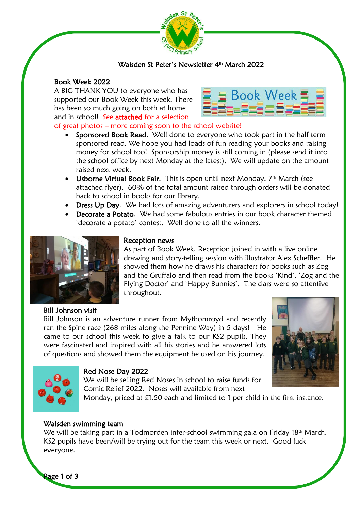

# Walsden St Peter's Newsletter 4th March 2022

# Book Week 2022

A BIG THANK YOU to everyone who has supported our Book Week this week. There has been so much going on both at home and in school! See attached for a selection



# of great photos – more coming soon to the school website!

- Sponsored Book Read. Well done to everyone who took part in the half term sponsored read. We hope you had loads of fun reading your books and raising money for school too! Sponsorship money is still coming in (please send it into the school office by next Monday at the latest). We will update on the amount raised next week.
- Usborne Virtual Book Fair. This is open until next Monday, 7<sup>th</sup> March (see attached flyer). 60% of the total amount raised through orders will be donated back to school in books for our library.
- **Dress Up Day.** We had lots of amazing adventurers and explorers in school today!
- **Decorate a Potato.** We had some fabulous entries in our book character themed 'decorate a potato' contest. Well done to all the winners.



#### Reception news

As part of Book Week, Reception joined in with a live online drawing and story-telling session with illustrator Alex Scheffler. He showed them how he draws his characters for books such as Zog and the Gruffalo and then read from the books 'Kind', 'Zog and the Flying Doctor' and 'Happy Bunnies'. The class were so attentive throughout.

# Bill Johnson visit

Bill Johnson is an adventure runner from Mythomroyd and recently ran the Spine race (268 miles along the Pennine Way) in 5 days! He came to our school this week to give a talk to our KS2 pupils. They were fascinated and inspired with all his stories and he answered lots of questions and showed them the equipment he used on his journey.





# Red Nose Day 2022

We will be selling Red Noses in school to raise funds for Comic Relief 2022. Noses will available from next

Monday, priced at £1.50 each and limited to 1 per child in the first instance.

# Walsden swimming team

We will be taking part in a Todmorden inter-school swimming gala on Friday 18<sup>th</sup> March. KS2 pupils have been/will be trying out for the team this week or next. Good luck everyone.

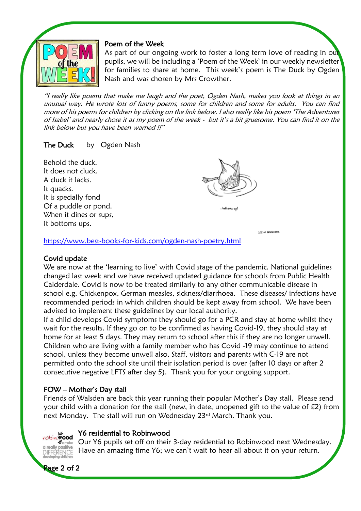

I

I

#### Poem of the Week

As part of our ongoing work to foster a long term love of reading in our pupils, we will be including a 'Poem of the Week' in our weekly newsletter for families to share at home. This week's poem is The Duck by Ogden Nash and was chosen by Mrs Crowther.

"I really like poems that make me laugh and the poet, Ogden Nash, makes you look at things in an unusual way. He wrote lots of funny poems, some for children and some for adults. You can find more of his poems for children by clicking on the link below. I also really like his poem 'The Adventures of Isabel' and nearly chose it as my poem of the week - but it's a bit gruesome. You can find it on the link below but you have been warned !!"

# The Duck by Ogden Nash

Behold the duck. It does not cluck. A cluck it lacks. It quacks. It is specially fond Of a puddle or pond. When it dines or sups, It bottoms ups.



heltoms un'

**10/165 GROUGHES** 

<https://www.best-books-for-kids.com/ogden-nash-poetry.html>

# Covid update

We are now at the 'learning to live' with Covid stage of the pandemic. National guidelines changed last week and we have received updated guidance for schools from Public Health Calderdale. Covid is now to be treated similarly to any other communicable disease in school e.g. Chickenpox, German measles, sickness/diarrhoea. These diseases/ infections have recommended periods in which children should be kept away from school. We have been advised to implement these guidelines by our local authority.

If a child develops Covid symptoms they should go for a PCR and stay at home whilst they wait for the results. If they go on to be confirmed as having Covid-19, they should stay at home for at least 5 days. They may return to school after this if they are no longer unwell. Children who are living with a family member who has Covid -19 may continue to attend school, unless they become unwell also. Staff, visitors and parents with C-19 are not permitted onto the school site until their isolation period is over (after 10 days or after 2 consecutive negative LFTS after day 5). Thank you for your ongoing support.

# FOW – Mother's Day stall

Friends of Walsden are back this year running their popular Mother's Day stall. Please send your child with a donation for the stall (new, in date, unopened gift to the value of £2) from next Monday. The stall will run on Wednesday 23<sup>rd</sup> March. Thank you.

#### Y6 residential to Robinwood **robin Wood**

Our Y6 pupils set off on their 3-day residential to Robinwood next Wednesday. Have an amazing time Y6; we can't wait to hear all about it on your return. **DIFFERENCE** 



a really positive